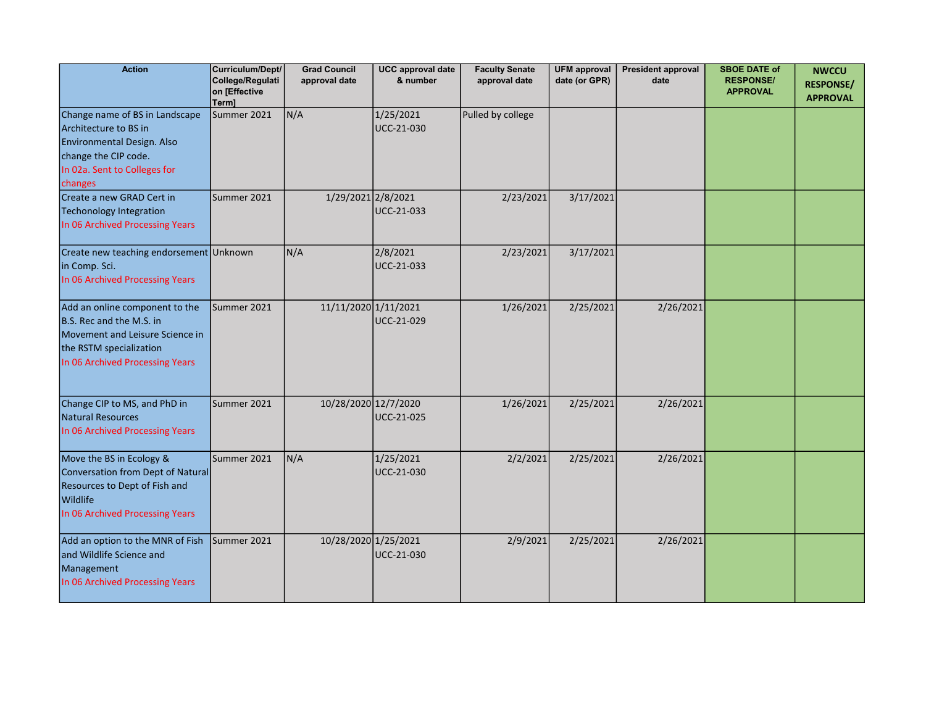| <b>Action</b>                                                                                                                                                   | Curriculum/Dept/<br>College/Regulati<br>on [Effective<br>Term] | <b>Grad Council</b><br>approval date | <b>UCC</b> approval date<br>& number | <b>Faculty Senate</b><br>approval date | <b>UFM</b> approval<br>date (or GPR) | <b>President approval</b><br>date | <b>SBOE DATE of</b><br><b>RESPONSE/</b><br><b>APPROVAL</b> | <b>NWCCU</b><br><b>RESPONSE/</b><br><b>APPROVAL</b> |
|-----------------------------------------------------------------------------------------------------------------------------------------------------------------|----------------------------------------------------------------|--------------------------------------|--------------------------------------|----------------------------------------|--------------------------------------|-----------------------------------|------------------------------------------------------------|-----------------------------------------------------|
| Change name of BS in Landscape<br>Architecture to BS in<br><b>Environmental Design. Also</b><br>change the CIP code.<br>In 02a. Sent to Colleges for<br>changes | Summer 2021                                                    | N/A                                  | 1/25/2021<br>UCC-21-030              | Pulled by college                      |                                      |                                   |                                                            |                                                     |
| Create a new GRAD Cert in<br>Techonology Integration<br>In 06 Archived Processing Years                                                                         | Summer 2021                                                    | 1/29/2021 2/8/2021                   | UCC-21-033                           | 2/23/2021                              | 3/17/2021                            |                                   |                                                            |                                                     |
| Create new teaching endorsement Unknown<br>in Comp. Sci.<br>In 06 Archived Processing Years                                                                     |                                                                | N/A                                  | 2/8/2021<br>UCC-21-033               | 2/23/2021                              | 3/17/2021                            |                                   |                                                            |                                                     |
| Add an online component to the<br>B.S. Rec and the M.S. in<br>Movement and Leisure Science in<br>the RSTM specialization<br>In 06 Archived Processing Years     | Summer 2021                                                    | 11/11/2020 1/11/2021                 | UCC-21-029                           | 1/26/2021                              | 2/25/2021                            | 2/26/2021                         |                                                            |                                                     |
| Change CIP to MS, and PhD in<br>Natural Resources<br>In 06 Archived Processing Years                                                                            | Summer 2021                                                    | 10/28/2020 12/7/2020                 | <b>UCC-21-025</b>                    | 1/26/2021                              | 2/25/2021                            | 2/26/2021                         |                                                            |                                                     |
| Move the BS in Ecology &<br>Conversation from Dept of Natural<br>Resources to Dept of Fish and<br>Wildlife<br>In 06 Archived Processing Years                   | Summer 2021                                                    | N/A                                  | 1/25/2021<br>UCC-21-030              | 2/2/2021                               | 2/25/2021                            | 2/26/2021                         |                                                            |                                                     |
| Add an option to the MNR of Fish<br>and Wildlife Science and<br>Management<br>In 06 Archived Processing Years                                                   | Summer 2021                                                    | 10/28/2020 1/25/2021                 | UCC-21-030                           | 2/9/2021                               | 2/25/2021                            | 2/26/2021                         |                                                            |                                                     |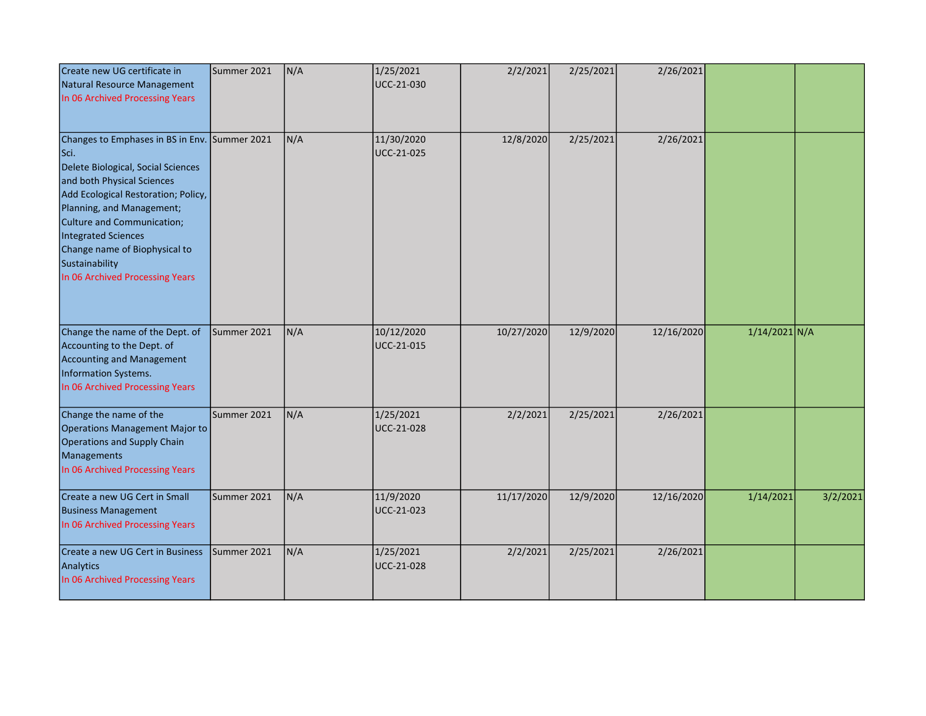| Create new UG certificate in<br>Natural Resource Management<br>In 06 Archived Processing Years                                                                                                                                                                                                                                           | Summer 2021 | N/A | 1/25/2021<br>UCC-21-030  | 2/2/2021   | 2/25/2021 | 2/26/2021  |                 |          |
|------------------------------------------------------------------------------------------------------------------------------------------------------------------------------------------------------------------------------------------------------------------------------------------------------------------------------------------|-------------|-----|--------------------------|------------|-----------|------------|-----------------|----------|
| Changes to Emphases in BS in Env. Summer 2021<br>Sci.<br>Delete Biological, Social Sciences<br>and both Physical Sciences<br>Add Ecological Restoration; Policy,<br>Planning, and Management;<br>Culture and Communication;<br>Integrated Sciences<br>Change name of Biophysical to<br>Sustainability<br>In 06 Archived Processing Years |             | N/A | 11/30/2020<br>UCC-21-025 | 12/8/2020  | 2/25/2021 | 2/26/2021  |                 |          |
| Change the name of the Dept. of<br>Accounting to the Dept. of<br>Accounting and Management<br>Information Systems.<br>In 06 Archived Processing Years                                                                                                                                                                                    | Summer 2021 | N/A | 10/12/2020<br>UCC-21-015 | 10/27/2020 | 12/9/2020 | 12/16/2020 | $1/14/2021$ N/A |          |
| Change the name of the<br>Operations Management Major to<br>Operations and Supply Chain<br>Managements<br>In 06 Archived Processing Years                                                                                                                                                                                                | Summer 2021 | N/A | 1/25/2021<br>UCC-21-028  | 2/2/2021   | 2/25/2021 | 2/26/2021  |                 |          |
| Create a new UG Cert in Small<br><b>Business Management</b><br>In 06 Archived Processing Years                                                                                                                                                                                                                                           | Summer 2021 | N/A | 11/9/2020<br>UCC-21-023  | 11/17/2020 | 12/9/2020 | 12/16/2020 | 1/14/2021       | 3/2/2021 |
| Create a new UG Cert in Business<br>Analytics<br>In 06 Archived Processing Years                                                                                                                                                                                                                                                         | Summer 2021 | N/A | 1/25/2021<br>UCC-21-028  | 2/2/2021   | 2/25/2021 | 2/26/2021  |                 |          |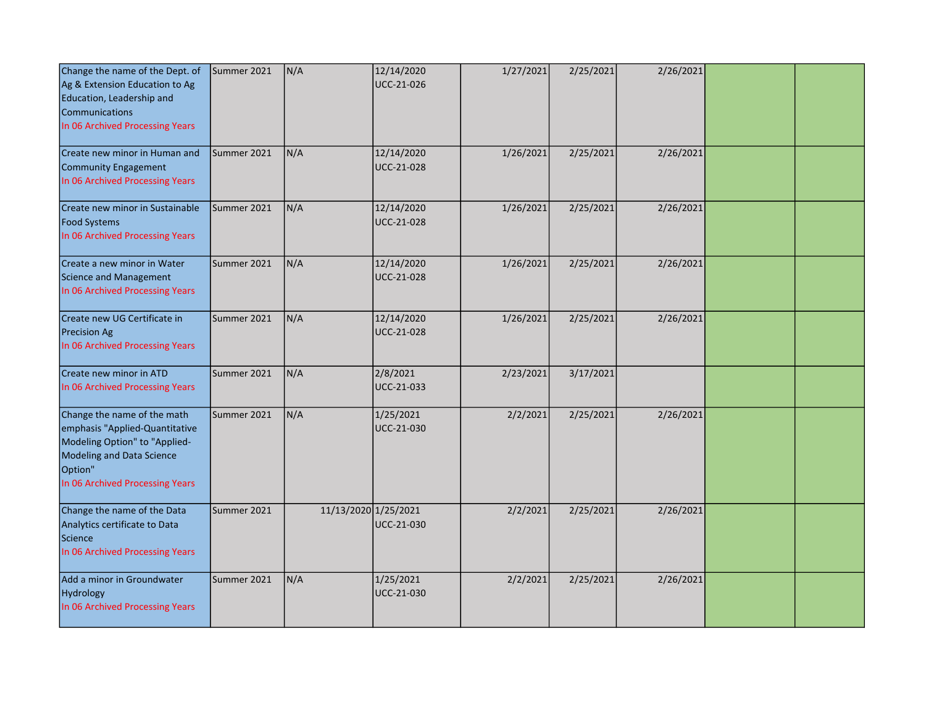| Change the name of the Dept. of<br>Ag & Extension Education to Ag<br>Education, Leadership and<br>Communications<br>In 06 Archived Processing Years                       | Summer 2021 | N/A                  | 12/14/2020<br>UCC-21-026        | 1/27/2021 | 2/25/2021 | 2/26/2021 |  |
|---------------------------------------------------------------------------------------------------------------------------------------------------------------------------|-------------|----------------------|---------------------------------|-----------|-----------|-----------|--|
| Create new minor in Human and<br>Community Engagement<br>In 06 Archived Processing Years                                                                                  | Summer 2021 | N/A                  | 12/14/2020<br>UCC-21-028        | 1/26/2021 | 2/25/2021 | 2/26/2021 |  |
| Create new minor in Sustainable<br>Food Systems<br>In 06 Archived Processing Years                                                                                        | Summer 2021 | N/A                  | 12/14/2020<br>UCC-21-028        | 1/26/2021 | 2/25/2021 | 2/26/2021 |  |
| lCreate a new minor in Water<br>Science and Management<br>In 06 Archived Processing Years                                                                                 | Summer 2021 | N/A                  | 12/14/2020<br>UCC-21-028        | 1/26/2021 | 2/25/2021 | 2/26/2021 |  |
| Create new UG Certificate in<br><b>Precision Ag</b><br>In 06 Archived Processing Years                                                                                    | Summer 2021 | N/A                  | 12/14/2020<br><b>UCC-21-028</b> | 1/26/2021 | 2/25/2021 | 2/26/2021 |  |
| Create new minor in ATD<br>In 06 Archived Processing Years                                                                                                                | Summer 2021 | N/A                  | 2/8/2021<br>UCC-21-033          | 2/23/2021 | 3/17/2021 |           |  |
| Change the name of the math<br>emphasis "Applied-Quantitative<br>Modeling Option" to "Applied-<br>Modeling and Data Science<br>Option"<br>In 06 Archived Processing Years | Summer 2021 | N/A                  | 1/25/2021<br>UCC-21-030         | 2/2/2021  | 2/25/2021 | 2/26/2021 |  |
| Change the name of the Data<br>Analytics certificate to Data<br>Science<br>In 06 Archived Processing Years                                                                | Summer 2021 | 11/13/2020 1/25/2021 | UCC-21-030                      | 2/2/2021  | 2/25/2021 | 2/26/2021 |  |
| Add a minor in Groundwater<br><b>Hydrology</b><br>In 06 Archived Processing Years                                                                                         | Summer 2021 | N/A                  | 1/25/2021<br>UCC-21-030         | 2/2/2021  | 2/25/2021 | 2/26/2021 |  |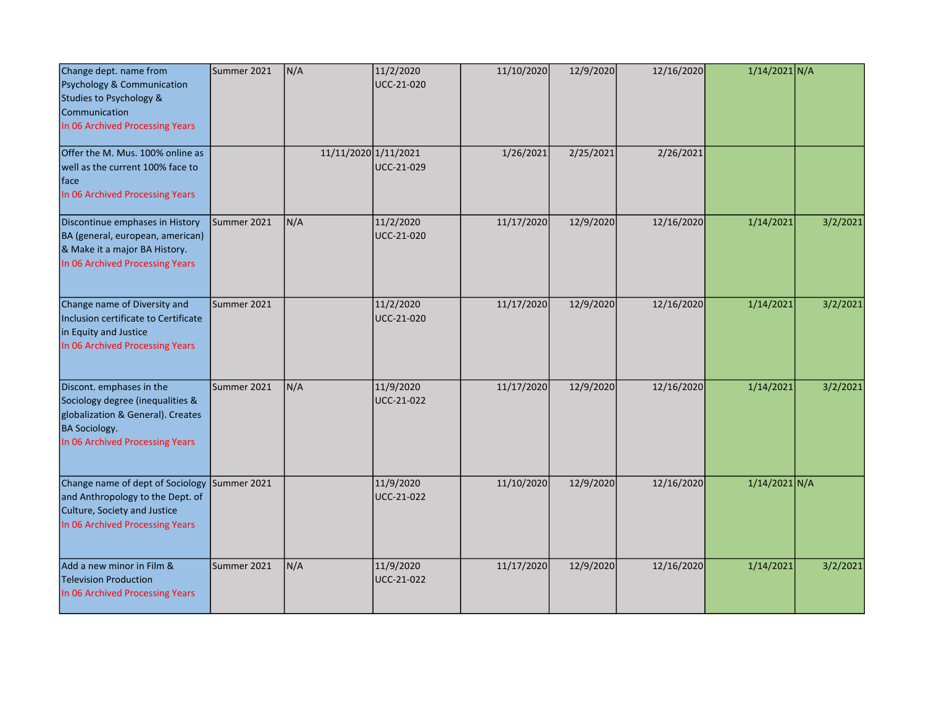| Change dept. name from<br>Psychology & Communication<br>Studies to Psychology &<br>Communication<br>In 06 Archived Processing Years                          | Summer 2021 | N/A                  | 11/2/2020<br><b>UCC-21-020</b> | 11/10/2020 | 12/9/2020 | 12/16/2020 | $1/14/2021$ N/A |          |
|--------------------------------------------------------------------------------------------------------------------------------------------------------------|-------------|----------------------|--------------------------------|------------|-----------|------------|-----------------|----------|
| Offer the M. Mus. 100% online as<br>well as the current 100% face to<br><b>face</b><br>In 06 Archived Processing Years                                       |             | 11/11/2020 1/11/2021 | UCC-21-029                     | 1/26/2021  | 2/25/2021 | 2/26/2021  |                 |          |
| Discontinue emphases in History<br>BA (general, european, american)<br>& Make it a major BA History.<br>In 06 Archived Processing Years                      | Summer 2021 | N/A                  | 11/2/2020<br>UCC-21-020        | 11/17/2020 | 12/9/2020 | 12/16/2020 | 1/14/2021       | 3/2/2021 |
| Change name of Diversity and<br>Inclusion certificate to Certificate<br>in Equity and Justice<br>In 06 Archived Processing Years                             | Summer 2021 |                      | 11/2/2020<br>UCC-21-020        | 11/17/2020 | 12/9/2020 | 12/16/2020 | 1/14/2021       | 3/2/2021 |
| Discont. emphases in the<br>Sociology degree (inequalities &<br>globalization & General). Creates<br><b>BA Sociology.</b><br>In 06 Archived Processing Years | Summer 2021 | N/A                  | 11/9/2020<br>UCC-21-022        | 11/17/2020 | 12/9/2020 | 12/16/2020 | 1/14/2021       | 3/2/2021 |
| Change name of dept of Sociology Summer 2021<br>and Anthropology to the Dept. of<br>Culture, Society and Justice<br>In 06 Archived Processing Years          |             |                      | 11/9/2020<br><b>UCC-21-022</b> | 11/10/2020 | 12/9/2020 | 12/16/2020 | $1/14/2021$ N/A |          |
| Add a new minor in Film &<br>Television Production<br>In 06 Archived Processing Years                                                                        | Summer 2021 | N/A                  | 11/9/2020<br><b>UCC-21-022</b> | 11/17/2020 | 12/9/2020 | 12/16/2020 | 1/14/2021       | 3/2/2021 |